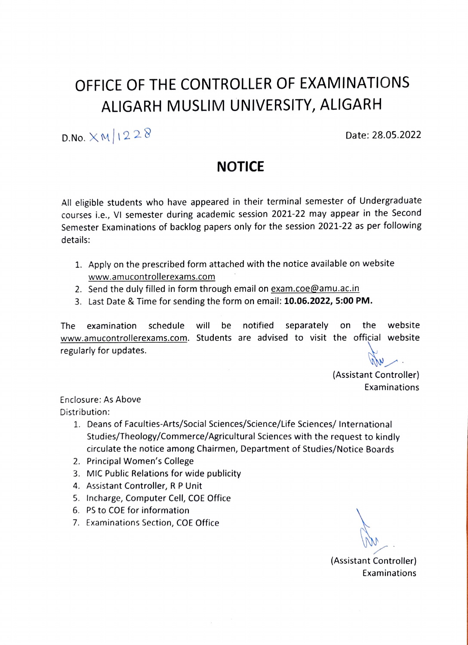## OFFICE OF THE CONTROLLER OF EXAMINATIONS ALIGARH MUSLIM UNIVERSITY, ALIGARH

D.No.  $\times$  M | 1 2 2  $\%$  Date: 28.05.2022

## NOTICE

All eligible students who have appeared in their terminal semester of Undergraduate courses i.e., VI semester during academic session 2021-22 may appear in the Second Semester Examinations of backlog papers only for the session 2021-22 as per following details:

- 1. Apply on the prescribed form attached with the notice available on website www.amucontrollerexams.com
- 2. Send the duly filled in form through email on exam.coe@amu.ac.in
- 3. Last Date & Time for sending the form on email: 10.06.2022, 5:00 PM.

The examination schedule will be notified separately on the website www.amucontrollerexams.com. Students are advised to visit the official website regularly for updates.

(Assistant Controller) Examinations

Enclosure: As Above Distribution:

- 1. Deans of Faculties-Arts/Social Sciences/Science/Life Sciences/ International Studies/Theology/Commerce/Agricultural Sciences with the request to kindly circulate the notice among Chairmen, Department of Studies/Notice Boards
- 2. Principal Women's College
- 3. MIC Public Relations for wide publicity
- 4. Assistant Controller, R P Unit
- 5. Incharge, Computer Cell, COE Office
- 6. PS to COE for information
- 7. Examinations Section, COE Office

(Assistant Controller) Examinations